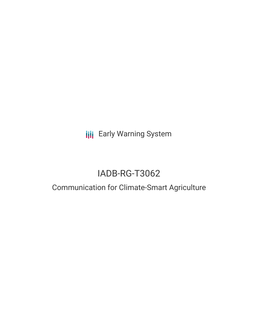**III** Early Warning System

# IADB-RG-T3062

## Communication for Climate-Smart Agriculture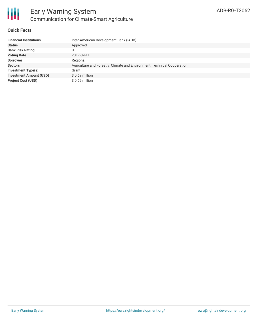

### **Quick Facts**

| <b>Financial Institutions</b>  | Inter-American Development Bank (IADB)                                   |
|--------------------------------|--------------------------------------------------------------------------|
| <b>Status</b>                  | Approved                                                                 |
| <b>Bank Risk Rating</b>        | U                                                                        |
| <b>Voting Date</b>             | 2017-09-11                                                               |
| <b>Borrower</b>                | Regional                                                                 |
| <b>Sectors</b>                 | Agriculture and Forestry, Climate and Environment, Technical Cooperation |
| Investment Type(s)             | Grant                                                                    |
| <b>Investment Amount (USD)</b> | $$0.69$ million                                                          |
| <b>Project Cost (USD)</b>      | \$ 0.69 million                                                          |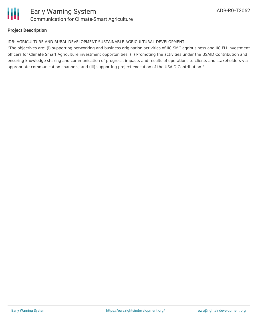

### **Project Description**

#### IDB: AGRICULTURE AND RURAL DEVELOPMENT-SUSTAINABLE AGRICULTURAL DEVELOPMENT

"The objectives are: (i) supporting networking and business origination activities of IIC SMC agribusiness and IIC FLI investment officers for Climate Smart Agriculture investment opportunities; (ii) Promoting the activities under the USAID Contribution and ensuring knowledge sharing and communication of progress, impacts and results of operations to clients and stakeholders via appropriate communication channels; and (iii) supporting project execution of the USAID Contribution."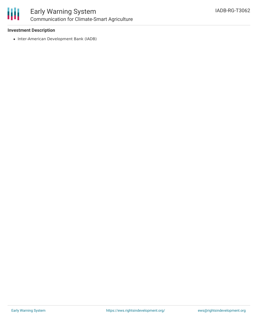

### Early Warning System Communication for Climate-Smart Agriculture

### **Investment Description**

• Inter-American Development Bank (IADB)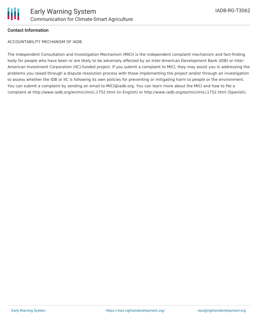

### **Contact Information**

ACCOUNTABILITY MECHANISM OF IADB

The Independent Consultation and Investigation Mechanism (MICI) is the independent complaint mechanism and fact-finding body for people who have been or are likely to be adversely affected by an Inter-American Development Bank (IDB) or Inter-American Investment Corporation (IIC)-funded project. If you submit a complaint to MICI, they may assist you in addressing the problems you raised through a dispute-resolution process with those implementing the project and/or through an investigation to assess whether the IDB or IIC is following its own policies for preventing or mitigating harm to people or the environment. You can submit a complaint by sending an email to MICI@iadb.org. You can learn more about the MICI and how to file a complaint at http://www.iadb.org/en/mici/mici,1752.html (in English) or http://www.iadb.org/es/mici/mici,1752.html (Spanish).